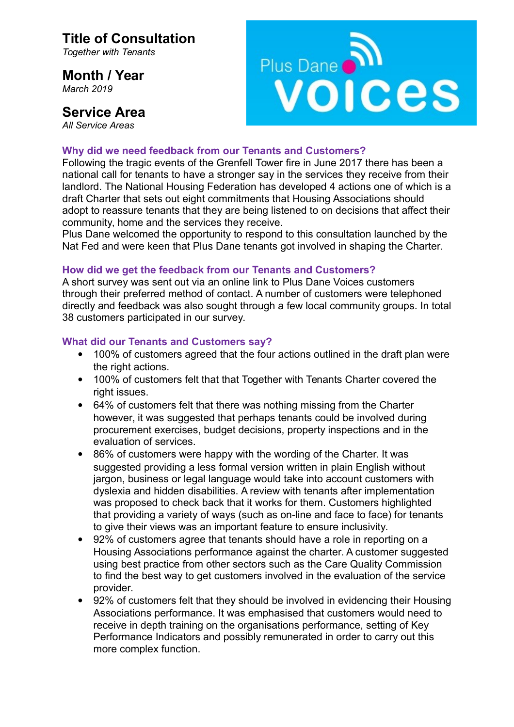# **Title of Consultation**

*Together with Tenants*

## **Month / Year**

*March 2019*

### **Service Area**

*All Service Areas*



### **Why did we need feedback from our Tenants and Customers?**

Following the tragic events of the Grenfell Tower fire in June 2017 there has been a national call for tenants to have a stronger say in the services they receive from their landlord. The National Housing Federation has developed 4 actions one of which is a draft Charter that sets out eight commitments that Housing Associations should adopt to reassure tenants that they are being listened to on decisions that affect their community, home and the services they receive.

Plus Dane welcomed the opportunity to respond to this consultation launched by the Nat Fed and were keen that Plus Dane tenants got involved in shaping the Charter.

#### **How did we get the feedback from our Tenants and Customers?**

A short survey was sent out via an online link to Plus Dane Voices customers through their preferred method of contact. A number of customers were telephoned directly and feedback was also sought through a few local community groups. In total 38 customers participated in our survey.

#### **What did our Tenants and Customers say?**

- 100% of customers agreed that the four actions outlined in the draft plan were the right actions.
- 100% of customers felt that that Together with Tenants Charter covered the right issues.
- 64% of customers felt that there was nothing missing from the Charter however, it was suggested that perhaps tenants could be involved during procurement exercises, budget decisions, property inspections and in the evaluation of services.
- 86% of customers were happy with the wording of the Charter. It was suggested providing a less formal version written in plain English without jargon, business or legal language would take into account customers with dyslexia and hidden disabilities. A review with tenants after implementation was proposed to check back that it works for them. Customers highlighted that providing a variety of ways (such as on-line and face to face) for tenants to give their views was an important feature to ensure inclusivity.
- 92% of customers agree that tenants should have a role in reporting on a Housing Associations performance against the charter. A customer suggested using best practice from other sectors such as the Care Quality Commission to find the best way to get customers involved in the evaluation of the service provider.
- 92% of customers felt that they should be involved in evidencing their Housing Associations performance. It was emphasised that customers would need to receive in depth training on the organisations performance, setting of Key Performance Indicators and possibly remunerated in order to carry out this more complex function.